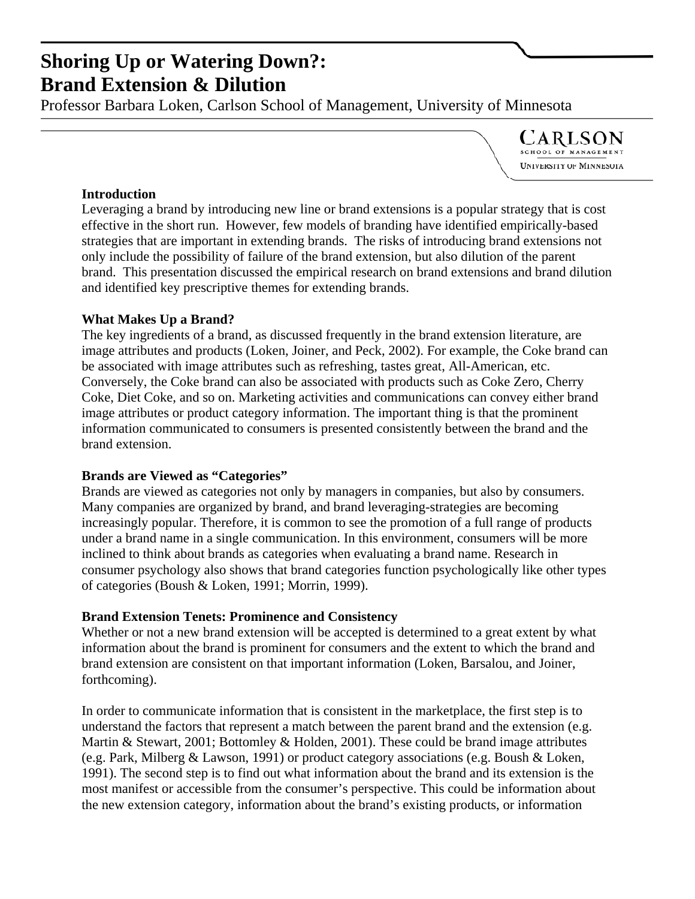# **Shoring Up or Watering Down?:**

**Brand Extension & Dilution**<br>Professor [Barbara Loken,](carlsonschool.umn.edu/marketinginstitute/bloken) Carlson School of Management, University of Minnesota

**CARLSON** OOL OF MANAGEI University of Minnesota

## **Introduction**

Leveraging a brand by introducing new line or brand extensions is a popular strategy that is cost effective in the short run. However, few models of branding have identified empirically-based strategies that are important in extending brands. The risks of introducing brand extensions not only include the possibility of failure of the brand extension, but also dilution of the parent brand. This presentation discussed the empirical research on brand extensions and brand dilution and identified key prescriptive themes for extending brands.

## **What Makes Up a Brand?**

The key ingredients of a brand, as discussed frequently in the brand extension literature, are image attributes and products (Loken, Joiner, and Peck, 2002). For example, the Coke brand can be associated with image attributes such as refreshing, tastes great, All-American, etc. Conversely, the Coke brand can also be associated with products such as Coke Zero, Cherry Coke, Diet Coke, and so on. Marketing activities and communications can convey either brand image attributes or product category information. The important thing is that the prominent information communicated to consumers is presented consistently between the brand and the brand extension.

## **Brands are Viewed as "Categories"**

Brands are viewed as categories not only by managers in companies, but also by consumers. Many companies are organized by brand, and brand leveraging-strategies are becoming increasingly popular. Therefore, it is common to see the promotion of a full range of products under a brand name in a single communication. In this environment, consumers will be more inclined to think about brands as categories when evaluating a brand name. Research in consumer psychology also shows that brand categories function psychologically like other types of categories (Boush & Loken, 1991; Morrin, 1999).

## **Brand Extension Tenets: Prominence and Consistency**

Whether or not a new brand extension will be accepted is determined to a great extent by what information about the brand is prominent for consumers and the extent to which the brand and brand extension are consistent on that important information (Loken, Barsalou, and Joiner, forthcoming).

In order to communicate information that is consistent in the marketplace, the first step is to understand the factors that represent a match between the parent brand and the extension (e.g. Martin & Stewart, 2001; Bottomley & Holden, 2001). These could be brand image attributes (e.g. Park, Milberg & Lawson, 1991) or product category associations (e.g. Boush & Loken, 1991). The second step is to find out what information about the brand and its extension is the most manifest or accessible from the consumer's perspective. This could be information about the new extension category, information about the brand's existing products, or information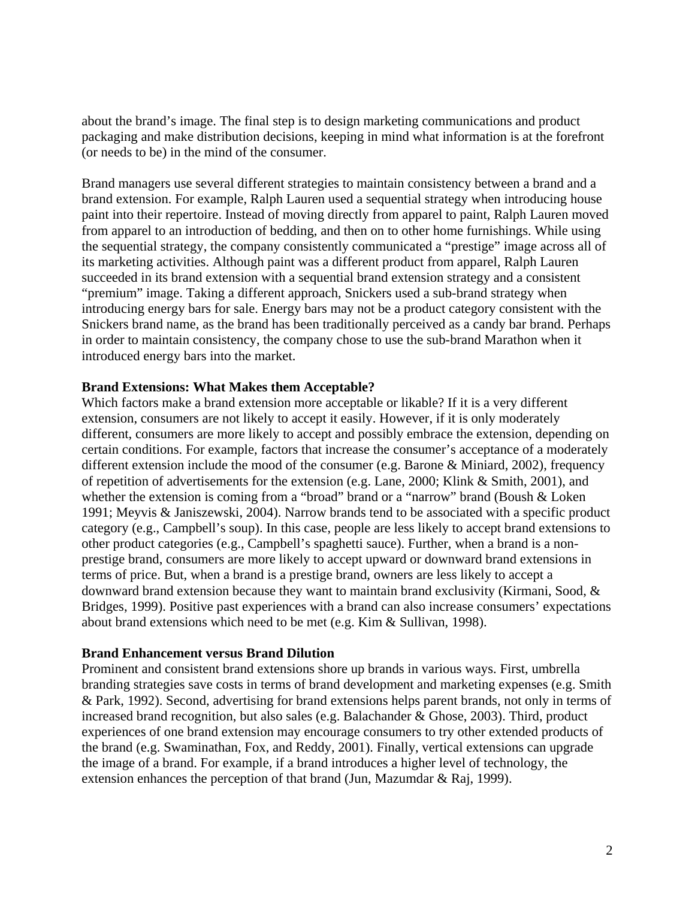about the brand's image. The final step is to design marketing communications and product packaging and make distribution decisions, keeping in mind what information is at the forefront (or needs to be) in the mind of the consumer.

Brand managers use several different strategies to maintain consistency between a brand and a brand extension. For example, Ralph Lauren used a sequential strategy when introducing house paint into their repertoire. Instead of moving directly from apparel to paint, Ralph Lauren moved from apparel to an introduction of bedding, and then on to other home furnishings. While using the sequential strategy, the company consistently communicated a "prestige" image across all of its marketing activities. Although paint was a different product from apparel, Ralph Lauren succeeded in its brand extension with a sequential brand extension strategy and a consistent "premium" image. Taking a different approach, Snickers used a sub-brand strategy when introducing energy bars for sale. Energy bars may not be a product category consistent with the Snickers brand name, as the brand has been traditionally perceived as a candy bar brand. Perhaps in order to maintain consistency, the company chose to use the sub-brand Marathon when it introduced energy bars into the market.

### **Brand Extensions: What Makes them Acceptable?**

Which factors make a brand extension more acceptable or likable? If it is a very different extension, consumers are not likely to accept it easily. However, if it is only moderately different, consumers are more likely to accept and possibly embrace the extension, depending on certain conditions. For example, factors that increase the consumer's acceptance of a moderately different extension include the mood of the consumer (e.g. Barone & Miniard, 2002), frequency of repetition of advertisements for the extension (e.g. Lane, 2000; Klink & Smith, 2001), and whether the extension is coming from a "broad" brand or a "narrow" brand (Boush & Loken 1991; Meyvis & Janiszewski, 2004). Narrow brands tend to be associated with a specific product category (e.g., Campbell's soup). In this case, people are less likely to accept brand extensions to other product categories (e.g., Campbell's spaghetti sauce). Further, when a brand is a nonprestige brand, consumers are more likely to accept upward or downward brand extensions in terms of price. But, when a brand is a prestige brand, owners are less likely to accept a downward brand extension because they want to maintain brand exclusivity (Kirmani, Sood, & Bridges, 1999). Positive past experiences with a brand can also increase consumers' expectations about brand extensions which need to be met (e.g. Kim & Sullivan, 1998).

#### **Brand Enhancement versus Brand Dilution**

Prominent and consistent brand extensions shore up brands in various ways. First, umbrella branding strategies save costs in terms of brand development and marketing expenses (e.g. Smith & Park, 1992). Second, advertising for brand extensions helps parent brands, not only in terms of increased brand recognition, but also sales (e.g. Balachander & Ghose, 2003). Third, product experiences of one brand extension may encourage consumers to try other extended products of the brand (e.g. Swaminathan, Fox, and Reddy, 2001). Finally, vertical extensions can upgrade the image of a brand. For example, if a brand introduces a higher level of technology, the extension enhances the perception of that brand (Jun, Mazumdar & Raj, 1999).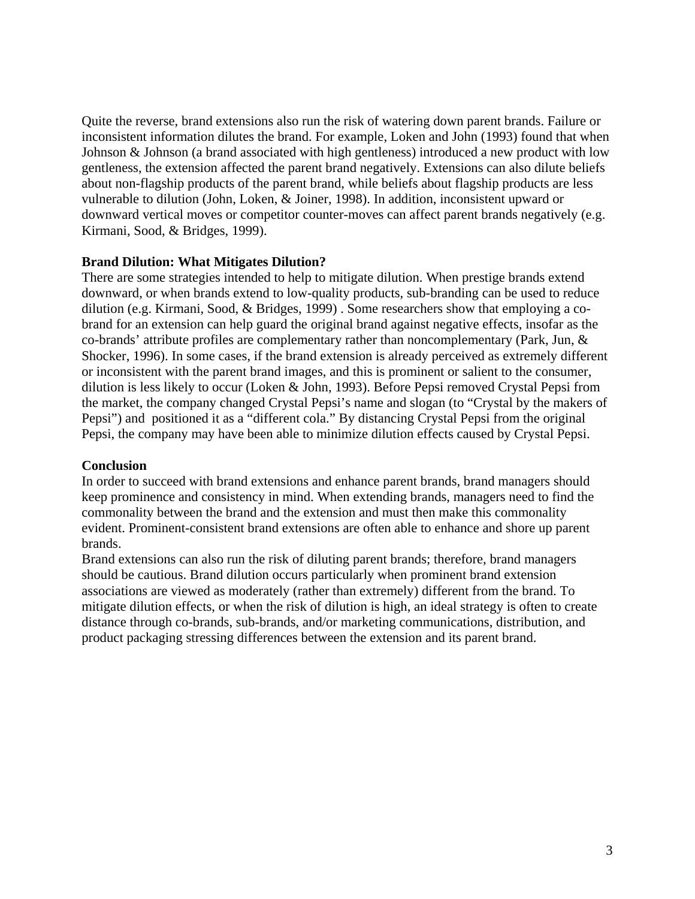Quite the reverse, brand extensions also run the risk of watering down parent brands. Failure or inconsistent information dilutes the brand. For example, Loken and John (1993) found that when Johnson & Johnson (a brand associated with high gentleness) introduced a new product with low gentleness, the extension affected the parent brand negatively. Extensions can also dilute beliefs about non-flagship products of the parent brand, while beliefs about flagship products are less vulnerable to dilution (John, Loken, & Joiner, 1998). In addition, inconsistent upward or downward vertical moves or competitor counter-moves can affect parent brands negatively (e.g. Kirmani, Sood, & Bridges, 1999).

### **Brand Dilution: What Mitigates Dilution?**

There are some strategies intended to help to mitigate dilution. When prestige brands extend downward, or when brands extend to low-quality products, sub-branding can be used to reduce dilution (e.g. Kirmani, Sood, & Bridges, 1999) . Some researchers show that employing a cobrand for an extension can help guard the original brand against negative effects, insofar as the co-brands' attribute profiles are complementary rather than noncomplementary (Park, Jun, & Shocker, 1996). In some cases, if the brand extension is already perceived as extremely different or inconsistent with the parent brand images, and this is prominent or salient to the consumer, dilution is less likely to occur (Loken & John, 1993). Before Pepsi removed Crystal Pepsi from the market, the company changed Crystal Pepsi's name and slogan (to "Crystal by the makers of Pepsi") and positioned it as a "different cola." By distancing Crystal Pepsi from the original Pepsi, the company may have been able to minimize dilution effects caused by Crystal Pepsi.

### **Conclusion**

In order to succeed with brand extensions and enhance parent brands, brand managers should keep prominence and consistency in mind. When extending brands, managers need to find the commonality between the brand and the extension and must then make this commonality evident. Prominent-consistent brand extensions are often able to enhance and shore up parent brands.

Brand extensions can also run the risk of diluting parent brands; therefore, brand managers should be cautious. Brand dilution occurs particularly when prominent brand extension associations are viewed as moderately (rather than extremely) different from the brand. To mitigate dilution effects, or when the risk of dilution is high, an ideal strategy is often to create distance through co-brands, sub-brands, and/or marketing communications, distribution, and product packaging stressing differences between the extension and its parent brand.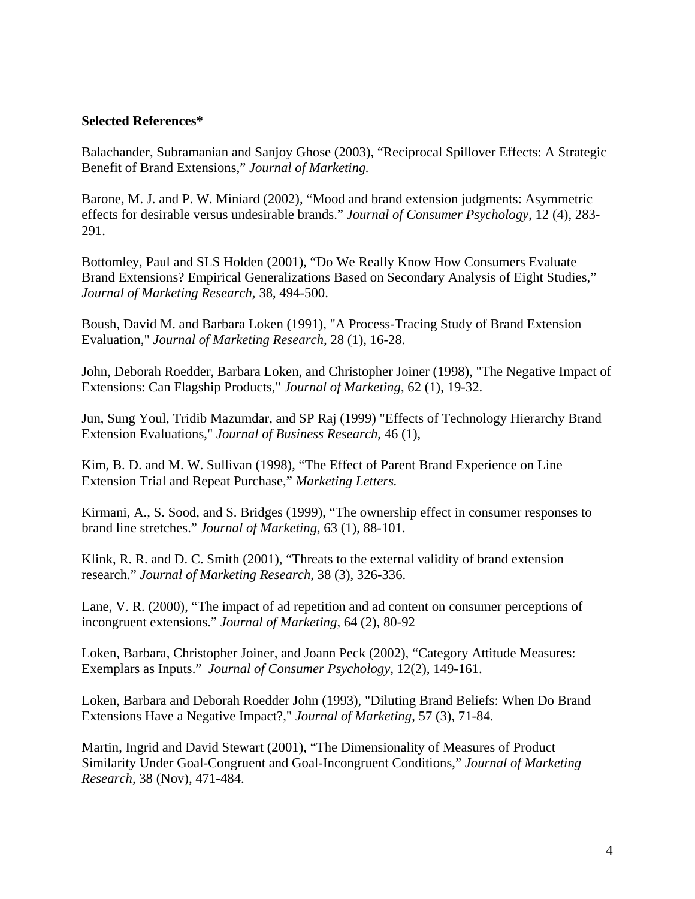#### **Selected References\***

Balachander, Subramanian and Sanjoy Ghose (2003), "Reciprocal Spillover Effects: A Strategic Benefit of Brand Extensions," *Journal of Marketing.* 

Barone, M. J. and P. W. Miniard (2002), "Mood and brand extension judgments: Asymmetric effects for desirable versus undesirable brands." *Journal of Consumer Psychology*, 12 (4), 283- 291.

Bottomley, Paul and SLS Holden (2001), "Do We Really Know How Consumers Evaluate Brand Extensions? Empirical Generalizations Based on Secondary Analysis of Eight Studies," *Journal of Marketing Research,* 38, 494-500.

Boush, David M. and [Barbara Loken](carlsonschool.umn.edu/marketinginstitute/bloken) (1991), "A Process-Tracing Study of Brand Extension Evaluation," *Journal of Marketing Research*, 28 (1), 16-28.

[John, Deborah Roedder,](carlsonschool.umn.edu/marketinginstitute/djohn) [Barbara Loken,](carlsonschool.umn.edu/marketinginstitute/bloken) and Christopher Joiner (1998), "The Negative Impact of Extensions: Can Flagship Products," *Journal of Marketing*, 62 (1), 19-32.

Jun, Sung Youl, Tridib Mazumdar, and SP Raj (1999) "Effects of Technology Hierarchy Brand Extension Evaluations," *Journal of Business Research*, 46 (1),

Kim, B. D. and M. W. Sullivan (1998), "The Effect of Parent Brand Experience on Line Extension Trial and Repeat Purchase," *Marketing Letters.*

Kirmani, A., S. Sood, and S. Bridges (1999), "The ownership effect in consumer responses to brand line stretches." *Journal of Marketing*, 63 (1), 88-101.

Klink, R. R. and D. C. Smith (2001), "Threats to the external validity of brand extension research." *Journal of Marketing Research*, 38 (3), 326-336.

Lane, V. R. (2000), "The impact of ad repetition and ad content on consumer perceptions of incongruent extensions." *Journal of Marketing*, 64 (2), 80-92

[Loken, Barbara,](carlsonschool.umn.edu/marketinginstitute/bloken) Christopher Joiner, and Joann Peck (2002), "Category Attitude Measures: Exemplars as Inputs." *Journal of Consumer Psychology,* 12(2), 149-161.

[Loken, Barbara](carlsonschool.umn.edu/marketinginstitute/bloken) and [Deborah Roedder John](carlsonschool.umn.edu/marketinginstitute/djohn) (1993), "Diluting Brand Beliefs: When Do Brand Extensions Have a Negative Impact?," *Journal of Marketing*, 57 (3), 71-84.

Martin, Ingrid and David Stewart (2001), "The Dimensionality of Measures of Product Similarity Under Goal-Congruent and Goal-Incongruent Conditions," *Journal of Marketing Research,* 38 (Nov), 471-484.